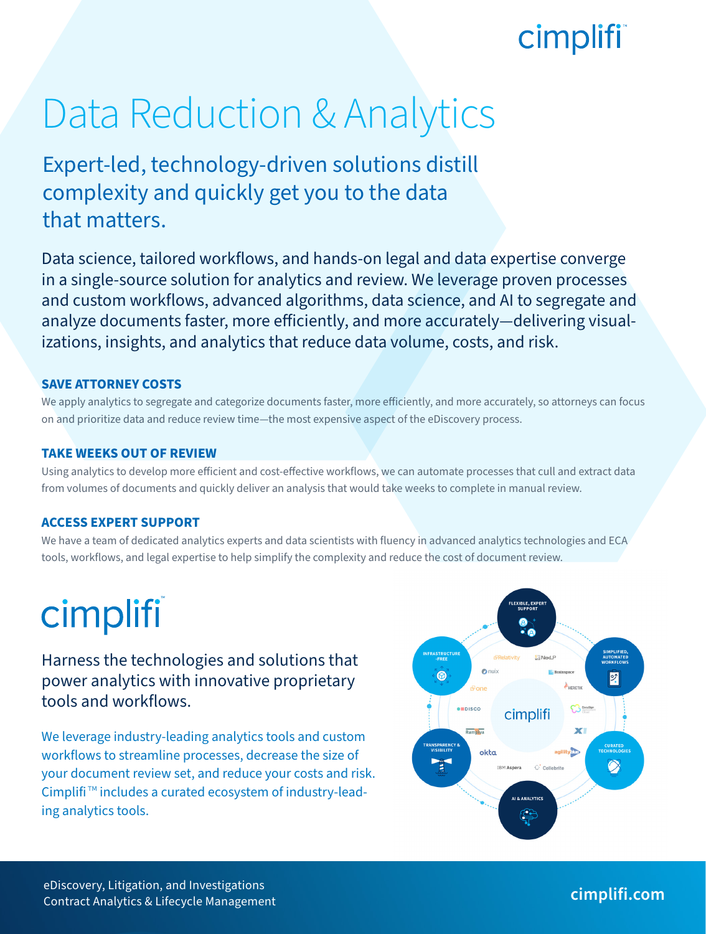## cimplifi

# Data Reduction & Analytics

Expert-led, technology-driven solutions distill complexity and quickly get you to the data that matters.

Data science, tailored workflows, and hands-on legal and data expertise converge in a single-source solution for analytics and review. We leverage proven processes and custom workflows, advanced algorithms, data science, and AI to segregate and analyze documents faster, more efficiently, and more accurately—delivering visualizations, insights, and analytics that reduce data volume, costs, and risk.

### **SAVE ATTORNEY COSTS**

We apply analytics to segregate and categorize documents faster, more efficiently, and more accurately, so attorneys can focus on and prioritize data and reduce review time—the most expensive aspect of the eDiscovery process.

#### **TAKE WEEKS OUT OF REVIEW**

Using analytics to develop more efficient and cost-effective workflows, we can automate processes that cull and extract data from volumes of documents and quickly deliver an analysis that would take weeks to complete in manual review.

### **ACCESS EXPERT SUPPORT**

We have a team of dedicated analytics experts and data scientists with fluency in advanced analytics technologies and ECA tools, workflows, and legal expertise to help simplify the complexity and reduce the cost of document review.

# cimplifi

Harness the technologies and solutions that power analytics with innovative proprietary tools and workflows.

We leverage industry-leading analytics tools and custom workflows to streamline processes, decrease the size of your document review set, and reduce your costs and risk. Cimplifi ™ includes a curated ecosystem of industry-leading analytics tools.